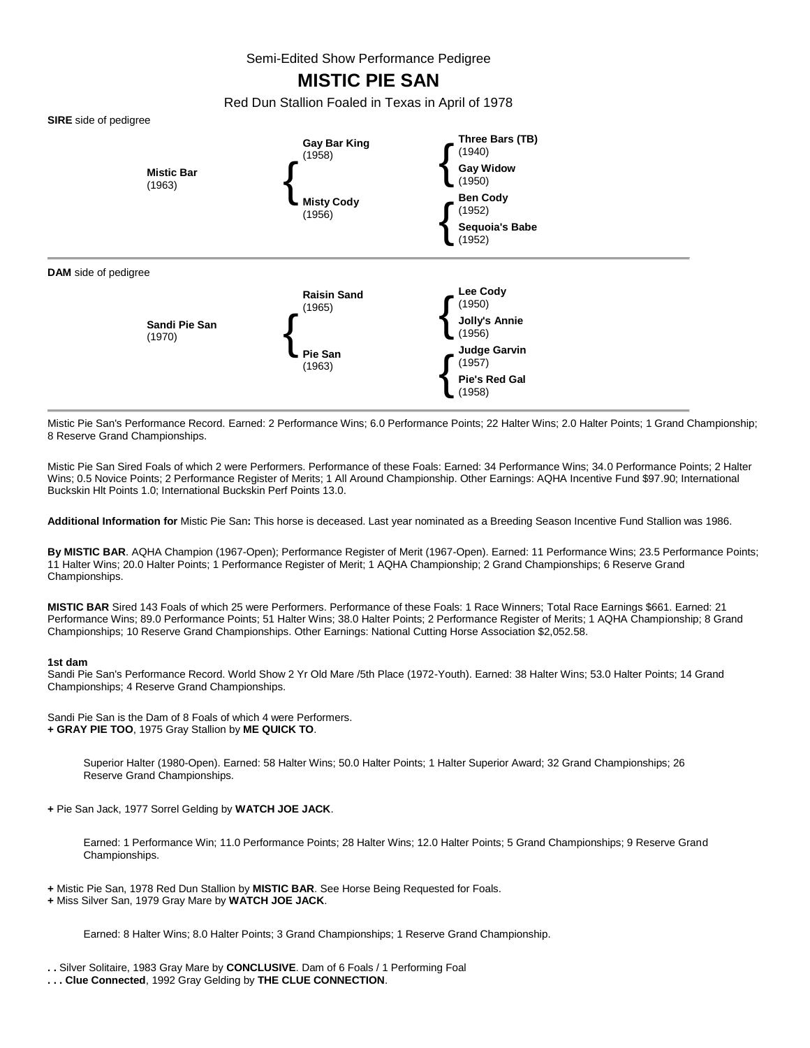Semi-Edited Show Performance Pedigree

# **MISTIC PIE SAN**

Red Dun Stallion Foaled in Texas in April of 1978



Mistic Pie San's Performance Record. Earned: 2 Performance Wins; 6.0 Performance Points; 22 Halter Wins; 2.0 Halter Points; 1 Grand Championship; 8 Reserve Grand Championships.

Mistic Pie San Sired Foals of which 2 were Performers. Performance of these Foals: Earned: 34 Performance Wins; 34.0 Performance Points; 2 Halter Wins; 0.5 Novice Points; 2 Performance Register of Merits; 1 All Around Championship. Other Earnings: AQHA Incentive Fund \$97.90; International Buckskin Hlt Points 1.0; International Buckskin Perf Points 13.0.

**Additional Information for** Mistic Pie San**:** This horse is deceased. Last year nominated as a Breeding Season Incentive Fund Stallion was 1986.

**By MISTIC BAR**. AQHA Champion (1967-Open); Performance Register of Merit (1967-Open). Earned: 11 Performance Wins; 23.5 Performance Points; 11 Halter Wins; 20.0 Halter Points; 1 Performance Register of Merit; 1 AQHA Championship; 2 Grand Championships; 6 Reserve Grand Championships.

**MISTIC BAR** Sired 143 Foals of which 25 were Performers. Performance of these Foals: 1 Race Winners; Total Race Earnings \$661. Earned: 21 Performance Wins; 89.0 Performance Points; 51 Halter Wins; 38.0 Halter Points; 2 Performance Register of Merits; 1 AQHA Championship; 8 Grand Championships; 10 Reserve Grand Championships. Other Earnings: National Cutting Horse Association \$2,052.58.

#### **1st dam**

Sandi Pie San's Performance Record. World Show 2 Yr Old Mare /5th Place (1972-Youth). Earned: 38 Halter Wins; 53.0 Halter Points; 14 Grand Championships; 4 Reserve Grand Championships.

Sandi Pie San is the Dam of 8 Foals of which 4 were Performers. **+ GRAY PIE TOO**, 1975 Gray Stallion by **ME QUICK TO**.

> Superior Halter (1980-Open). Earned: 58 Halter Wins; 50.0 Halter Points; 1 Halter Superior Award; 32 Grand Championships; 26 Reserve Grand Championships.

**+** Pie San Jack, 1977 Sorrel Gelding by **WATCH JOE JACK**.

Earned: 1 Performance Win; 11.0 Performance Points; 28 Halter Wins; 12.0 Halter Points; 5 Grand Championships; 9 Reserve Grand Championships.

**+** Mistic Pie San, 1978 Red Dun Stallion by **MISTIC BAR**. See Horse Being Requested for Foals.

**+** Miss Silver San, 1979 Gray Mare by **WATCH JOE JACK**.

Earned: 8 Halter Wins; 8.0 Halter Points; 3 Grand Championships; 1 Reserve Grand Championship.

**. .** Silver Solitaire, 1983 Gray Mare by **CONCLUSIVE**. Dam of 6 Foals / 1 Performing Foal

**. . . Clue Connected**, 1992 Gray Gelding by **THE CLUE CONNECTION**.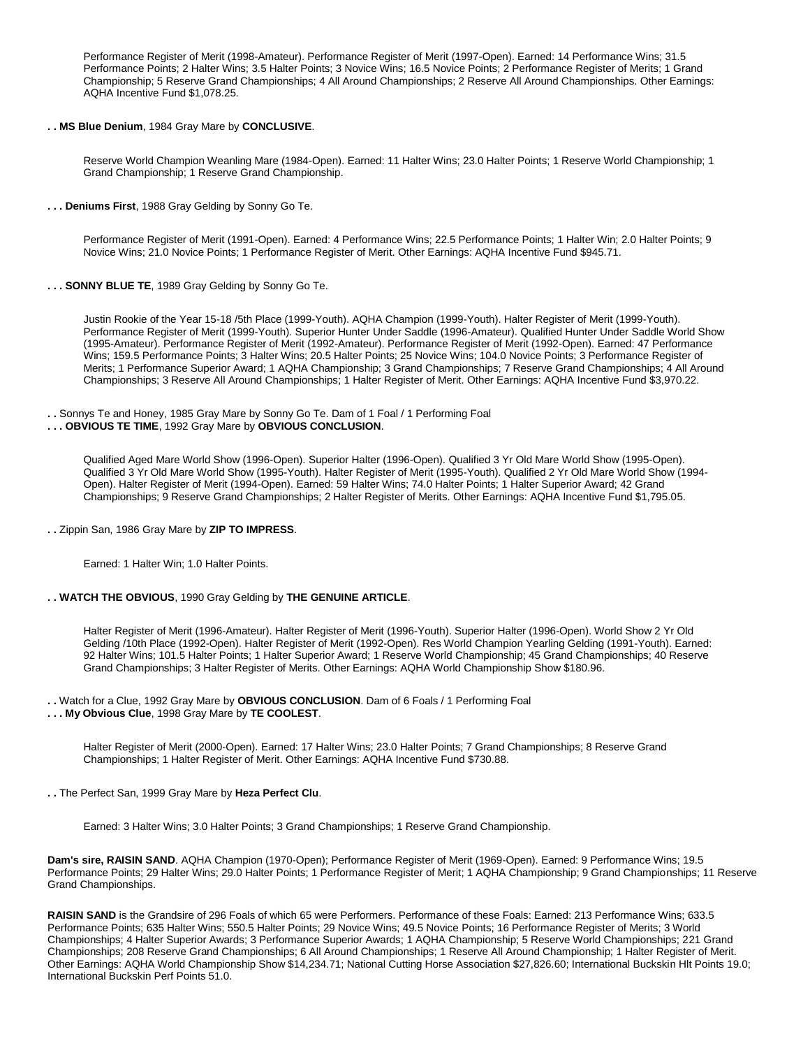Performance Register of Merit (1998-Amateur). Performance Register of Merit (1997-Open). Earned: 14 Performance Wins; 31.5 Performance Points; 2 Halter Wins; 3.5 Halter Points; 3 Novice Wins; 16.5 Novice Points; 2 Performance Register of Merits; 1 Grand Championship; 5 Reserve Grand Championships; 4 All Around Championships; 2 Reserve All Around Championships. Other Earnings: AQHA Incentive Fund \$1,078.25.

# **. . MS Blue Denium**, 1984 Gray Mare by **CONCLUSIVE**.

Reserve World Champion Weanling Mare (1984-Open). Earned: 11 Halter Wins; 23.0 Halter Points; 1 Reserve World Championship; 1 Grand Championship; 1 Reserve Grand Championship.

**. . . Deniums First**, 1988 Gray Gelding by Sonny Go Te.

Performance Register of Merit (1991-Open). Earned: 4 Performance Wins; 22.5 Performance Points; 1 Halter Win; 2.0 Halter Points; 9 Novice Wins; 21.0 Novice Points; 1 Performance Register of Merit. Other Earnings: AQHA Incentive Fund \$945.71.

**. . . SONNY BLUE TE**, 1989 Gray Gelding by Sonny Go Te.

Justin Rookie of the Year 15-18 /5th Place (1999-Youth). AQHA Champion (1999-Youth). Halter Register of Merit (1999-Youth). Performance Register of Merit (1999-Youth). Superior Hunter Under Saddle (1996-Amateur). Qualified Hunter Under Saddle World Show (1995-Amateur). Performance Register of Merit (1992-Amateur). Performance Register of Merit (1992-Open). Earned: 47 Performance Wins; 159.5 Performance Points; 3 Halter Wins; 20.5 Halter Points; 25 Novice Wins; 104.0 Novice Points; 3 Performance Register of Merits; 1 Performance Superior Award; 1 AQHA Championship; 3 Grand Championships; 7 Reserve Grand Championships; 4 All Around Championships; 3 Reserve All Around Championships; 1 Halter Register of Merit. Other Earnings: AQHA Incentive Fund \$3,970.22.

#### **. .** Sonnys Te and Honey, 1985 Gray Mare by Sonny Go Te. Dam of 1 Foal / 1 Performing Foal **. . . OBVIOUS TE TIME**, 1992 Gray Mare by **OBVIOUS CONCLUSION**.

Qualified Aged Mare World Show (1996-Open). Superior Halter (1996-Open). Qualified 3 Yr Old Mare World Show (1995-Open). Qualified 3 Yr Old Mare World Show (1995-Youth). Halter Register of Merit (1995-Youth). Qualified 2 Yr Old Mare World Show (1994- Open). Halter Register of Merit (1994-Open). Earned: 59 Halter Wins; 74.0 Halter Points; 1 Halter Superior Award; 42 Grand Championships; 9 Reserve Grand Championships; 2 Halter Register of Merits. Other Earnings: AQHA Incentive Fund \$1,795.05.

**. .** Zippin San, 1986 Gray Mare by **ZIP TO IMPRESS**.

Earned: 1 Halter Win; 1.0 Halter Points.

## **. . WATCH THE OBVIOUS**, 1990 Gray Gelding by **THE GENUINE ARTICLE**.

Halter Register of Merit (1996-Amateur). Halter Register of Merit (1996-Youth). Superior Halter (1996-Open). World Show 2 Yr Old Gelding /10th Place (1992-Open). Halter Register of Merit (1992-Open). Res World Champion Yearling Gelding (1991-Youth). Earned: 92 Halter Wins; 101.5 Halter Points; 1 Halter Superior Award; 1 Reserve World Championship; 45 Grand Championships; 40 Reserve Grand Championships; 3 Halter Register of Merits. Other Earnings: AQHA World Championship Show \$180.96.

**. .** Watch for a Clue, 1992 Gray Mare by **OBVIOUS CONCLUSION**. Dam of 6 Foals / 1 Performing Foal

**. . . My Obvious Clue**, 1998 Gray Mare by **TE COOLEST**.

Halter Register of Merit (2000-Open). Earned: 17 Halter Wins; 23.0 Halter Points; 7 Grand Championships; 8 Reserve Grand Championships; 1 Halter Register of Merit. Other Earnings: AQHA Incentive Fund \$730.88.

**. .** The Perfect San, 1999 Gray Mare by **Heza Perfect Clu**.

Earned: 3 Halter Wins; 3.0 Halter Points; 3 Grand Championships; 1 Reserve Grand Championship.

**Dam's sire, RAISIN SAND**. AQHA Champion (1970-Open); Performance Register of Merit (1969-Open). Earned: 9 Performance Wins; 19.5 Performance Points; 29 Halter Wins; 29.0 Halter Points; 1 Performance Register of Merit; 1 AQHA Championship; 9 Grand Championships; 11 Reserve Grand Championships.

**RAISIN SAND** is the Grandsire of 296 Foals of which 65 were Performers. Performance of these Foals: Earned: 213 Performance Wins; 633.5 Performance Points; 635 Halter Wins; 550.5 Halter Points; 29 Novice Wins; 49.5 Novice Points; 16 Performance Register of Merits; 3 World Championships; 4 Halter Superior Awards; 3 Performance Superior Awards; 1 AQHA Championship; 5 Reserve World Championships; 221 Grand Championships; 208 Reserve Grand Championships; 6 All Around Championships; 1 Reserve All Around Championship; 1 Halter Register of Merit. Other Earnings: AQHA World Championship Show \$14,234.71; National Cutting Horse Association \$27,826.60; International Buckskin Hlt Points 19.0; International Buckskin Perf Points 51.0.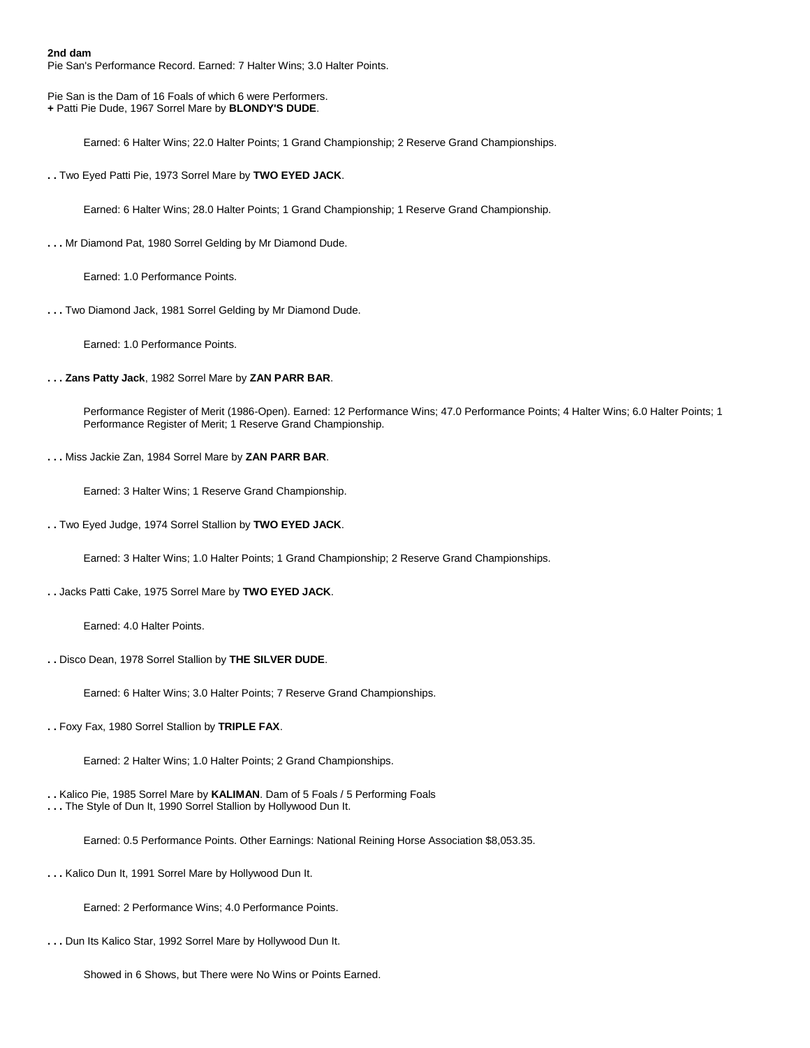**2nd dam**  Pie San's Performance Record. Earned: 7 Halter Wins; 3.0 Halter Points.

Pie San is the Dam of 16 Foals of which 6 were Performers. **+** Patti Pie Dude, 1967 Sorrel Mare by **BLONDY'S DUDE**.

Earned: 6 Halter Wins; 22.0 Halter Points; 1 Grand Championship; 2 Reserve Grand Championships.

**. .** Two Eyed Patti Pie, 1973 Sorrel Mare by **TWO EYED JACK**.

Earned: 6 Halter Wins; 28.0 Halter Points; 1 Grand Championship; 1 Reserve Grand Championship.

**. . .** Mr Diamond Pat, 1980 Sorrel Gelding by Mr Diamond Dude.

Earned: 1.0 Performance Points.

**. . .** Two Diamond Jack, 1981 Sorrel Gelding by Mr Diamond Dude.

Earned: 1.0 Performance Points.

**. . . Zans Patty Jack**, 1982 Sorrel Mare by **ZAN PARR BAR**.

Performance Register of Merit (1986-Open). Earned: 12 Performance Wins; 47.0 Performance Points; 4 Halter Wins; 6.0 Halter Points; 1 Performance Register of Merit; 1 Reserve Grand Championship.

**. . .** Miss Jackie Zan, 1984 Sorrel Mare by **ZAN PARR BAR**.

Earned: 3 Halter Wins; 1 Reserve Grand Championship.

**. .** Two Eyed Judge, 1974 Sorrel Stallion by **TWO EYED JACK**.

Earned: 3 Halter Wins; 1.0 Halter Points; 1 Grand Championship; 2 Reserve Grand Championships.

**. .** Jacks Patti Cake, 1975 Sorrel Mare by **TWO EYED JACK**.

Earned: 4.0 Halter Points.

**. .** Disco Dean, 1978 Sorrel Stallion by **THE SILVER DUDE**.

Earned: 6 Halter Wins; 3.0 Halter Points; 7 Reserve Grand Championships.

**. .** Foxy Fax, 1980 Sorrel Stallion by **TRIPLE FAX**.

Earned: 2 Halter Wins; 1.0 Halter Points; 2 Grand Championships.

**. .** Kalico Pie, 1985 Sorrel Mare by **KALIMAN**. Dam of 5 Foals / 5 Performing Foals **. . .** The Style of Dun It, 1990 Sorrel Stallion by Hollywood Dun It.

Earned: 0.5 Performance Points. Other Earnings: National Reining Horse Association \$8,053.35.

**. . .** Kalico Dun It, 1991 Sorrel Mare by Hollywood Dun It.

Earned: 2 Performance Wins; 4.0 Performance Points.

**. . .** Dun Its Kalico Star, 1992 Sorrel Mare by Hollywood Dun It.

Showed in 6 Shows, but There were No Wins or Points Earned.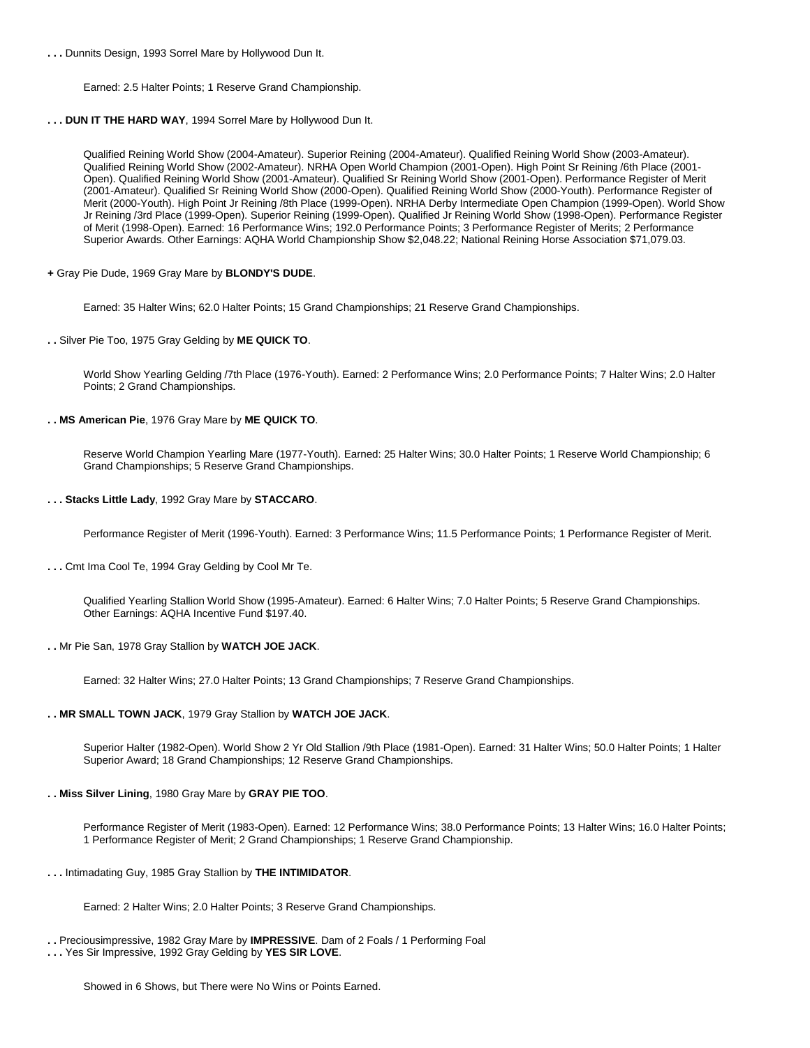**. . .** Dunnits Design, 1993 Sorrel Mare by Hollywood Dun It.

Earned: 2.5 Halter Points; 1 Reserve Grand Championship.

**. . . DUN IT THE HARD WAY**, 1994 Sorrel Mare by Hollywood Dun It.

Qualified Reining World Show (2004-Amateur). Superior Reining (2004-Amateur). Qualified Reining World Show (2003-Amateur). Qualified Reining World Show (2002-Amateur). NRHA Open World Champion (2001-Open). High Point Sr Reining /6th Place (2001- Open). Qualified Reining World Show (2001-Amateur). Qualified Sr Reining World Show (2001-Open). Performance Register of Merit (2001-Amateur). Qualified Sr Reining World Show (2000-Open). Qualified Reining World Show (2000-Youth). Performance Register of Merit (2000-Youth). High Point Jr Reining /8th Place (1999-Open). NRHA Derby Intermediate Open Champion (1999-Open). World Show Jr Reining /3rd Place (1999-Open). Superior Reining (1999-Open). Qualified Jr Reining World Show (1998-Open). Performance Register of Merit (1998-Open). Earned: 16 Performance Wins; 192.0 Performance Points; 3 Performance Register of Merits; 2 Performance Superior Awards. Other Earnings: AQHA World Championship Show \$2,048.22; National Reining Horse Association \$71,079.03.

**+** Gray Pie Dude, 1969 Gray Mare by **BLONDY'S DUDE**.

Earned: 35 Halter Wins; 62.0 Halter Points; 15 Grand Championships; 21 Reserve Grand Championships.

**. .** Silver Pie Too, 1975 Gray Gelding by **ME QUICK TO**.

World Show Yearling Gelding /7th Place (1976-Youth). Earned: 2 Performance Wins; 2.0 Performance Points; 7 Halter Wins; 2.0 Halter Points; 2 Grand Championships.

**. . MS American Pie**, 1976 Gray Mare by **ME QUICK TO**.

Reserve World Champion Yearling Mare (1977-Youth). Earned: 25 Halter Wins; 30.0 Halter Points; 1 Reserve World Championship; 6 Grand Championships; 5 Reserve Grand Championships.

**. . . Stacks Little Lady**, 1992 Gray Mare by **STACCARO**.

Performance Register of Merit (1996-Youth). Earned: 3 Performance Wins; 11.5 Performance Points; 1 Performance Register of Merit.

**. . .** Cmt Ima Cool Te, 1994 Gray Gelding by Cool Mr Te.

Qualified Yearling Stallion World Show (1995-Amateur). Earned: 6 Halter Wins; 7.0 Halter Points; 5 Reserve Grand Championships. Other Earnings: AQHA Incentive Fund \$197.40.

**. .** Mr Pie San, 1978 Gray Stallion by **WATCH JOE JACK**.

Earned: 32 Halter Wins; 27.0 Halter Points; 13 Grand Championships; 7 Reserve Grand Championships.

**. . MR SMALL TOWN JACK**, 1979 Gray Stallion by **WATCH JOE JACK**.

Superior Halter (1982-Open). World Show 2 Yr Old Stallion /9th Place (1981-Open). Earned: 31 Halter Wins; 50.0 Halter Points; 1 Halter Superior Award; 18 Grand Championships; 12 Reserve Grand Championships.

**. . Miss Silver Lining**, 1980 Gray Mare by **GRAY PIE TOO**.

Performance Register of Merit (1983-Open). Earned: 12 Performance Wins; 38.0 Performance Points; 13 Halter Wins; 16.0 Halter Points; 1 Performance Register of Merit; 2 Grand Championships; 1 Reserve Grand Championship.

**. . .** Intimadating Guy, 1985 Gray Stallion by **THE INTIMIDATOR**.

Earned: 2 Halter Wins; 2.0 Halter Points; 3 Reserve Grand Championships.

**. .** Preciousimpressive, 1982 Gray Mare by **IMPRESSIVE**. Dam of 2 Foals / 1 Performing Foal

**. . .** Yes Sir Impressive, 1992 Gray Gelding by **YES SIR LOVE**.

Showed in 6 Shows, but There were No Wins or Points Earned.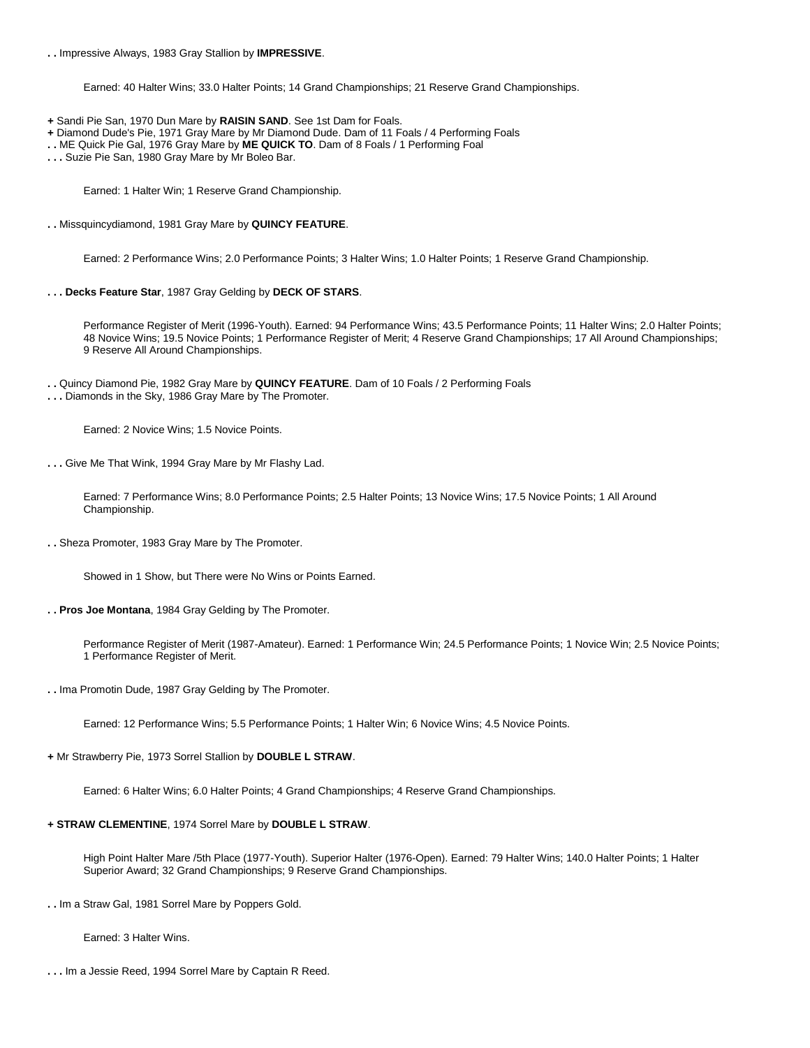**. .** Impressive Always, 1983 Gray Stallion by **IMPRESSIVE**.

Earned: 40 Halter Wins; 33.0 Halter Points; 14 Grand Championships; 21 Reserve Grand Championships.

- **+** Sandi Pie San, 1970 Dun Mare by **RAISIN SAND**. See 1st Dam for Foals.
- **+** Diamond Dude's Pie, 1971 Gray Mare by Mr Diamond Dude. Dam of 11 Foals / 4 Performing Foals
- **. .** ME Quick Pie Gal, 1976 Gray Mare by **ME QUICK TO**. Dam of 8 Foals / 1 Performing Foal
- **. . .** Suzie Pie San, 1980 Gray Mare by Mr Boleo Bar.

Earned: 1 Halter Win; 1 Reserve Grand Championship.

**. .** Missquincydiamond, 1981 Gray Mare by **QUINCY FEATURE**.

Earned: 2 Performance Wins; 2.0 Performance Points; 3 Halter Wins; 1.0 Halter Points; 1 Reserve Grand Championship.

**. . . Decks Feature Star**, 1987 Gray Gelding by **DECK OF STARS**.

Performance Register of Merit (1996-Youth). Earned: 94 Performance Wins; 43.5 Performance Points; 11 Halter Wins; 2.0 Halter Points; 48 Novice Wins; 19.5 Novice Points; 1 Performance Register of Merit; 4 Reserve Grand Championships; 17 All Around Championships; 9 Reserve All Around Championships.

- **. .** Quincy Diamond Pie, 1982 Gray Mare by **QUINCY FEATURE**. Dam of 10 Foals / 2 Performing Foals
- **. . .** Diamonds in the Sky, 1986 Gray Mare by The Promoter.

Earned: 2 Novice Wins; 1.5 Novice Points.

**. . .** Give Me That Wink, 1994 Gray Mare by Mr Flashy Lad.

Earned: 7 Performance Wins; 8.0 Performance Points; 2.5 Halter Points; 13 Novice Wins; 17.5 Novice Points; 1 All Around Championship.

**. .** Sheza Promoter, 1983 Gray Mare by The Promoter.

Showed in 1 Show, but There were No Wins or Points Earned.

**. . Pros Joe Montana**, 1984 Gray Gelding by The Promoter.

Performance Register of Merit (1987-Amateur). Earned: 1 Performance Win; 24.5 Performance Points; 1 Novice Win; 2.5 Novice Points; 1 Performance Register of Merit.

**. .** Ima Promotin Dude, 1987 Gray Gelding by The Promoter.

Earned: 12 Performance Wins; 5.5 Performance Points; 1 Halter Win; 6 Novice Wins; 4.5 Novice Points.

**+** Mr Strawberry Pie, 1973 Sorrel Stallion by **DOUBLE L STRAW**.

Earned: 6 Halter Wins; 6.0 Halter Points; 4 Grand Championships; 4 Reserve Grand Championships.

#### **+ STRAW CLEMENTINE**, 1974 Sorrel Mare by **DOUBLE L STRAW**.

High Point Halter Mare /5th Place (1977-Youth). Superior Halter (1976-Open). Earned: 79 Halter Wins; 140.0 Halter Points; 1 Halter Superior Award; 32 Grand Championships; 9 Reserve Grand Championships.

**. .** Im a Straw Gal, 1981 Sorrel Mare by Poppers Gold.

Earned: 3 Halter Wins.

**. . .** Im a Jessie Reed, 1994 Sorrel Mare by Captain R Reed.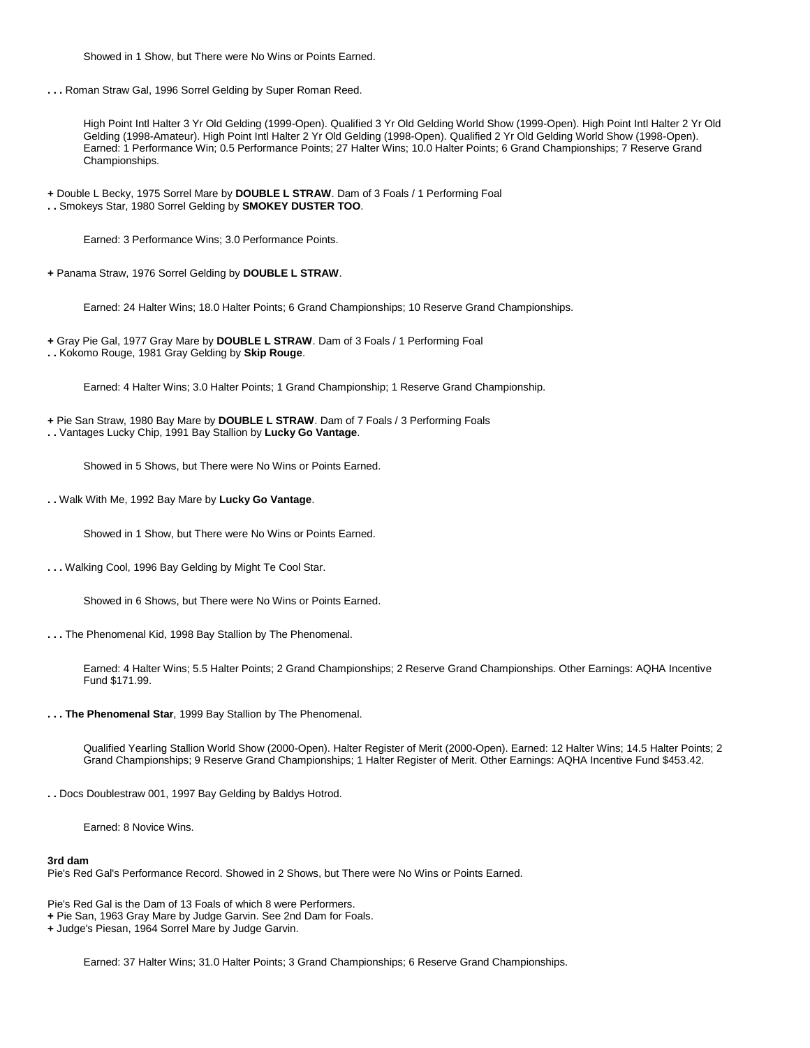Showed in 1 Show, but There were No Wins or Points Earned.

**. . .** Roman Straw Gal, 1996 Sorrel Gelding by Super Roman Reed.

High Point Intl Halter 3 Yr Old Gelding (1999-Open). Qualified 3 Yr Old Gelding World Show (1999-Open). High Point Intl Halter 2 Yr Old Gelding (1998-Amateur). High Point Intl Halter 2 Yr Old Gelding (1998-Open). Qualified 2 Yr Old Gelding World Show (1998-Open). Earned: 1 Performance Win; 0.5 Performance Points; 27 Halter Wins; 10.0 Halter Points; 6 Grand Championships; 7 Reserve Grand Championships.

**+** Double L Becky, 1975 Sorrel Mare by **DOUBLE L STRAW**. Dam of 3 Foals / 1 Performing Foal **. .** Smokeys Star, 1980 Sorrel Gelding by **SMOKEY DUSTER TOO**.

Earned: 3 Performance Wins; 3.0 Performance Points.

**+** Panama Straw, 1976 Sorrel Gelding by **DOUBLE L STRAW**.

Earned: 24 Halter Wins; 18.0 Halter Points; 6 Grand Championships; 10 Reserve Grand Championships.

- **+** Gray Pie Gal, 1977 Gray Mare by **DOUBLE L STRAW**. Dam of 3 Foals / 1 Performing Foal
- **. .** Kokomo Rouge, 1981 Gray Gelding by **Skip Rouge**.

Earned: 4 Halter Wins; 3.0 Halter Points; 1 Grand Championship; 1 Reserve Grand Championship.

**+** Pie San Straw, 1980 Bay Mare by **DOUBLE L STRAW**. Dam of 7 Foals / 3 Performing Foals

**. .** Vantages Lucky Chip, 1991 Bay Stallion by **Lucky Go Vantage**.

Showed in 5 Shows, but There were No Wins or Points Earned.

**. .** Walk With Me, 1992 Bay Mare by **Lucky Go Vantage**.

Showed in 1 Show, but There were No Wins or Points Earned.

**. . .** Walking Cool, 1996 Bay Gelding by Might Te Cool Star.

Showed in 6 Shows, but There were No Wins or Points Earned.

**. . .** The Phenomenal Kid, 1998 Bay Stallion by The Phenomenal.

Earned: 4 Halter Wins; 5.5 Halter Points; 2 Grand Championships; 2 Reserve Grand Championships. Other Earnings: AQHA Incentive Fund \$171.99.

**. . . The Phenomenal Star**, 1999 Bay Stallion by The Phenomenal.

Qualified Yearling Stallion World Show (2000-Open). Halter Register of Merit (2000-Open). Earned: 12 Halter Wins; 14.5 Halter Points; 2 Grand Championships; 9 Reserve Grand Championships; 1 Halter Register of Merit. Other Earnings: AQHA Incentive Fund \$453.42.

**. .** Docs Doublestraw 001, 1997 Bay Gelding by Baldys Hotrod.

Earned: 8 Novice Wins.

#### **3rd dam**

Pie's Red Gal's Performance Record. Showed in 2 Shows, but There were No Wins or Points Earned.

Pie's Red Gal is the Dam of 13 Foals of which 8 were Performers.

**+** Pie San, 1963 Gray Mare by Judge Garvin. See 2nd Dam for Foals.

**+** Judge's Piesan, 1964 Sorrel Mare by Judge Garvin.

Earned: 37 Halter Wins; 31.0 Halter Points; 3 Grand Championships; 6 Reserve Grand Championships.